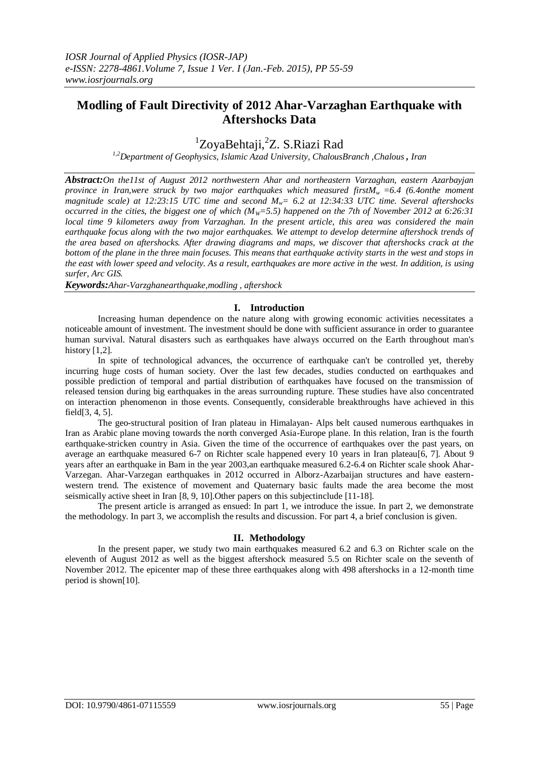## **Modling of Fault Directivity of 2012 Ahar-Varzaghan Earthquake with Aftershocks Data**

# <sup>1</sup>ZoyaBehtaji, <sup>2</sup>Z. S.Riazi Rad

*1,2Department of Geophysics, Islamic Azad University, ChalousBranch ,Chalous , Iran*

*Abstract:On the11st of August 2012 northwestern Ahar and northeastern Varzaghan, eastern Azarbayjan province in Iran,were struck by two major earthquakes which measured firstMw =6.4 (6.4onthe moment magnitude scale) at 12:23:15 UTC time and second Mw= 6.2 at 12:34:33 UTC time. Several aftershocks occurred in the cities, the biggest one of which (M<sub>W</sub>=5.5) happened on the 7th of November 2012 at 6:26:31 local time 9 kilometers away from Varzaghan. In the present article, this area was considered the main earthquake focus along with the two major earthquakes. We attempt to develop determine aftershock trends of the area based on aftershocks. After drawing diagrams and maps, we discover that aftershocks crack at the bottom of the plane in the three main focuses. This means that earthquake activity starts in the west and stops in the east with lower speed and velocity. As a result, earthquakes are more active in the west. In addition, is using surfer, Arc GIS.*

*Keywords:Ahar-Varzghanearthquake,modling , aftershock*

## **I. Introduction**

Increasing human dependence on the nature along with growing economic activities necessitates a noticeable amount of investment. The investment should be done with sufficient assurance in order to guarantee human survival. Natural disasters such as earthquakes have always occurred on the Earth throughout man's history  $[1,2]$ .

In spite of technological advances, the occurrence of earthquake can't be controlled yet, thereby incurring huge costs of human society. Over the last few decades, studies conducted on earthquakes and possible prediction of temporal and partial distribution of earthquakes have focused on the transmission of released tension during big earthquakes in the areas surrounding rupture. These studies have also concentrated on interaction phenomenon in those events. Consequently, considerable breakthroughs have achieved in this field[3, 4, 5].

The geo-structural position of Iran plateau in Himalayan- Alps belt caused numerous earthquakes in Iran as Arabic plane moving towards the north converged Asia-Europe plane. In this relation, Iran is the fourth earthquake-stricken country in Asia. Given the time of the occurrence of earthquakes over the past years, on average an earthquake measured 6-7 on Richter scale happened every 10 years in Iran plateau[6, 7]. About 9 years after an earthquake in Bam in the year 2003,an earthquake measured 6.2-6.4 on Richter scale shook Ahar-Varzegan. Ahar-Varzegan earthquakes in 2012 occurred in Alborz-Azarbaijan structures and have easternwestern trend. The existence of movement and Quaternary basic faults made the area become the most seismically active sheet in Iran [8, 9, 10].Other papers on this subjectinclude [11-18].

The present article is arranged as ensued: In part 1, we introduce the issue. In part 2, we demonstrate the methodology. In part 3, we accomplish the results and discussion. For part 4, a brief conclusion is given.

## **II. Methodology**

In the present paper, we study two main earthquakes measured 6.2 and 6.3 on Richter scale on the eleventh of August 2012 as well as the biggest aftershock measured 5.5 on Richter scale on the seventh of November 2012. The epicenter map of these three earthquakes along with 498 aftershocks in a 12-month time period is shown[10].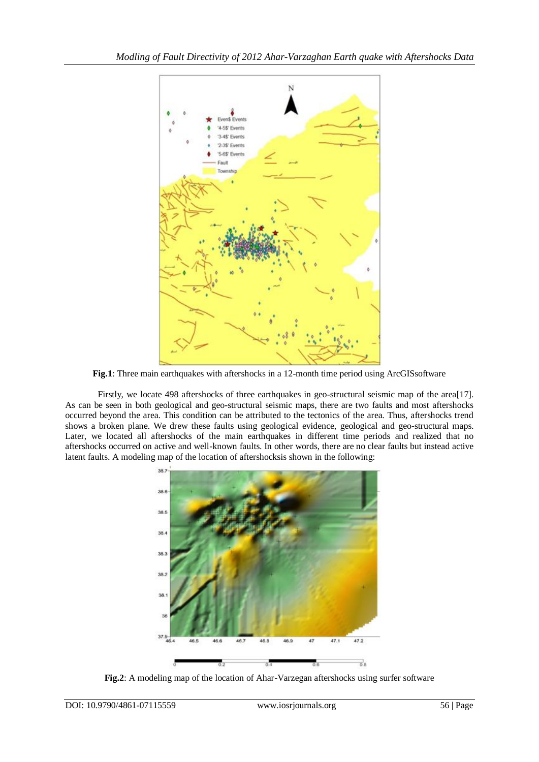

**Fig.1**: Three main earthquakes with aftershocks in a 12-month time period using ArcGISsoftware

Firstly, we locate 498 aftershocks of three earthquakes in geo-structural seismic map of the area[17]. As can be seen in both geological and geo-structural seismic maps, there are two faults and most aftershocks occurred beyond the area. This condition can be attributed to the tectonics of the area. Thus, aftershocks trend shows a broken plane. We drew these faults using geological evidence, geological and geo-structural maps. Later, we located all aftershocks of the main earthquakes in different time periods and realized that no aftershocks occurred on active and well-known faults. In other words, there are no clear faults but instead active latent faults. A modeling map of the location of aftershocksis shown in the following:



**Fig.2**: A modeling map of the location of Ahar-Varzegan aftershocks using surfer software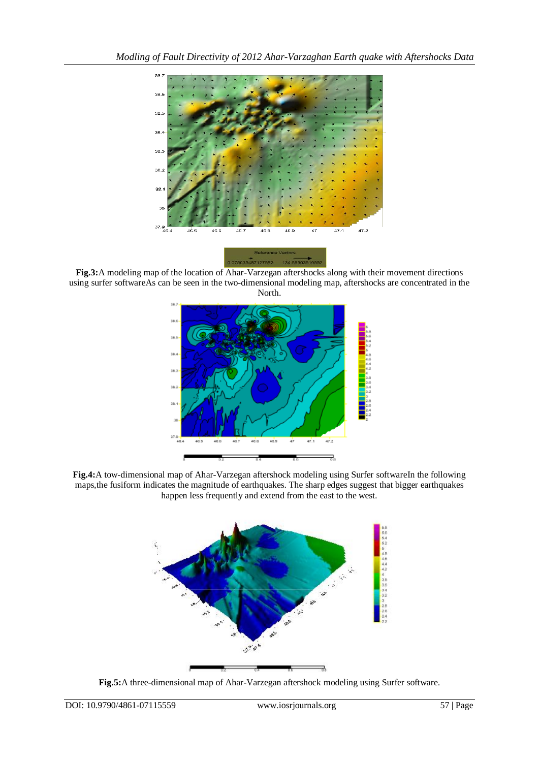

**Fig.3:**A modeling map of the location of Ahar-Varzegan aftershocks along with their movement directions using surfer softwareAs can be seen in the two-dimensional modeling map, aftershocks are concentrated in the North.



**Fig.4:**A tow-dimensional map of Ahar-Varzegan aftershock modeling using Surfer softwareIn the following maps,the fusiform indicates the magnitude of earthquakes. The sharp edges suggest that bigger earthquakes happen less frequently and extend from the east to the west.



**Fig.5:**A three-dimensional map of Ahar-Varzegan aftershock modeling using Surfer software.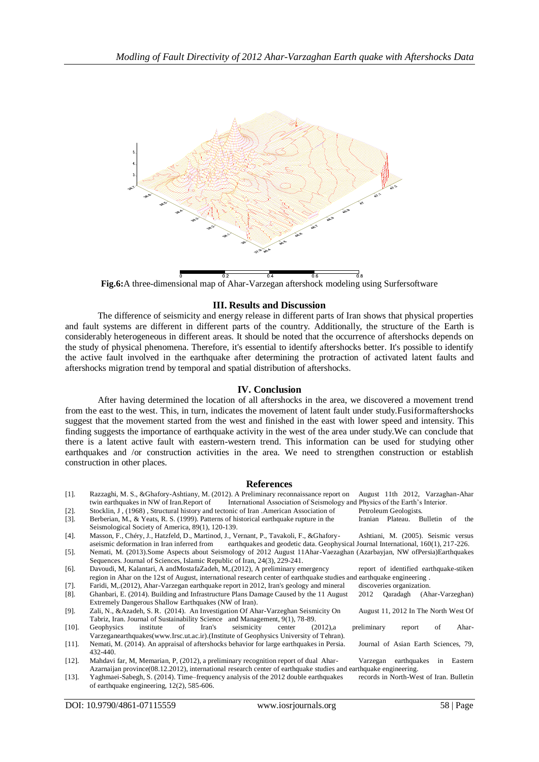

**Fig.6:**A three-dimensional map of Ahar-Varzegan aftershock modeling using Surfersoftware

#### **III. Results and Discussion**

The difference of seismicity and energy release in different parts of Iran shows that physical properties and fault systems are different in different parts of the country. Additionally, the structure of the Earth is considerably heterogeneous in different areas. It should be noted that the occurrence of aftershocks depends on the study of physical phenomena. Therefore, it's essential to identify aftershocks better. It's possible to identify the active fault involved in the earthquake after determining the protraction of activated latent faults and aftershocks migration trend by temporal and spatial distribution of aftershocks.

#### **IV. Conclusion**

After having determined the location of all aftershocks in the area, we discovered a movement trend from the east to the west. This, in turn, indicates the movement of latent fault under study.Fusiformaftershocks suggest that the movement started from the west and finished in the east with lower speed and intensity. This finding suggests the importance of earthquake activity in the west of the area under study.We can conclude that there is a latent active fault with eastern-western trend. This information can be used for studying other earthquakes and /or construction activities in the area. We need to strengthen construction or establish construction in other places.

#### **References**

| $\lceil 1 \rceil$ . | Razzaghi, M. S., & Ghafory-Ashtiany, M. (2012). A Preliminary reconnaissance report on                                           |                                     |  | August 11th 2012, Varzaghan-Ahar        |    |           |
|---------------------|----------------------------------------------------------------------------------------------------------------------------------|-------------------------------------|--|-----------------------------------------|----|-----------|
|                     | twin earthquakes in NW of Iran.Report of International Association of Seismology and Physics of the Earth's Interior.            |                                     |  |                                         |    |           |
| $[2]$ .             | Stocklin, J. (1968), Structural history and tectonic of Iran . American Association of                                           | Petroleum Geologists.               |  |                                         |    |           |
| $\lceil 3 \rceil$ . | Berberian, M., & Yeats, R. S. (1999). Patterns of historical earthquake rupture in the                                           |                                     |  | Iranian Plateau. Bulletin               |    | the<br>of |
|                     | Seismological Society of America, 89(1), 120-139.                                                                                |                                     |  |                                         |    |           |
| $[4]$ .             | Masson, F., Chéry, J., Hatzfeld, D., Martinod, J., Vernant, P., Tavakoli, F., & Ghafory-                                         | Ashtiani, M. (2005). Seismic versus |  |                                         |    |           |
|                     | earthquakes and geodetic data. Geophysical Journal International, 160(1), 217-226.<br>aseismic deformation in Iran inferred from |                                     |  |                                         |    |           |
| $\lceil 5 \rceil$ . | Nemati, M. (2013).Some Aspects about Seismology of 2012 August 11Ahar-Vaezaghan (Azarbayjan, NW ofPersia)Earthquakes             |                                     |  |                                         |    |           |
|                     | Sequences. Journal of Sciences, Islamic Republic of Iran, 24(3), 229-241.                                                        |                                     |  |                                         |    |           |
| $[6]$ .             | Davoudi, M, Kalantari, A and Mostafa Zadeh, M, (2012), A preliminary emergency                                                   |                                     |  | report of identified earthquake-stiken  |    |           |
|                     | region in Ahar on the 12st of August, international research center of earthquake studies and earthquake engineering.            |                                     |  |                                         |    |           |
| $\lceil 7 \rceil$ . | Faridi, M. (2012), Ahar-Varzegan earthquake report in 2012, Iran's geology and mineral                                           |                                     |  | discoveries organization.               |    |           |
| $[8]$ .             | Ghanbari, E. (2014). Building and Infrastructure Plans Damage Caused by the 11 August                                            | 2012                                |  | Qaradagh (Ahar-Varzeghan)               |    |           |
|                     | Extremely Dangerous Shallow Earthquakes (NW of Iran).                                                                            |                                     |  |                                         |    |           |
| $[9]$ .             | Zali, N., & Azadeh, S. R. (2014). An Investigation Of Ahar-Varzeghan Seismicity On                                               |                                     |  | August 11, 2012 In The North West Of    |    |           |
|                     | Tabriz, Iran. Journal of Sustainability Science and Management, 9(1), 78-89.                                                     |                                     |  |                                         |    |           |
| $[10]$ .            | of<br>Iran's<br>seismicity<br>institute<br>Geophysics<br>$(2012)$ , a<br>center                                                  | preliminary                         |  | report                                  | of | Ahar-     |
|                     | Varzeganearthquakes(www.Irsc.ut.ac.ir).(Institute of Geophysics University of Tehran).                                           |                                     |  |                                         |    |           |
| $[11]$ .            | Nemati, M. (2014). An appraisal of aftershocks behavior for large earthquakes in Persia.                                         |                                     |  | Journal of Asian Earth Sciences, 79,    |    |           |
|                     | 432-440.                                                                                                                         |                                     |  |                                         |    |           |
| $[12]$ .            | Mahdavi far, M, Memarian, P, (2012), a preliminary recognition report of dual Ahar-                                              | Varzegan                            |  | earthquakes                             | in | Eastern   |
|                     | Azarnaijan province(08.12.2012), international research center of earthquake studies and earthquake engineering.                 |                                     |  |                                         |    |           |
| $[13]$ .            | Yaghmaei-Sabegh, S. (2014). Time-frequency analysis of the 2012 double earthquakes                                               |                                     |  | records in North-West of Iran. Bulletin |    |           |
|                     | of earthquake engineering, $12(2)$ , 585-606.                                                                                    |                                     |  |                                         |    |           |
|                     |                                                                                                                                  |                                     |  |                                         |    |           |